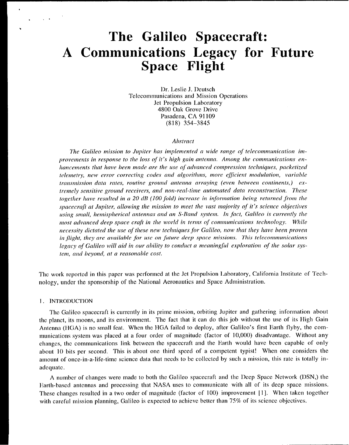# The Galileo Spacecraft: A Communications Legacy for Future **Space Flight**

Dr. Leslie J. Deutsch Telecommunications and Mission Operations Jet Propulsion Laboratory 4800 Oak Grove Drive Pasadena, CA 91109  $(818)$  354-3845

#### **Abstract**

The Galileo mission to Jupiter has implemented a wide range of telecommunication improvements in response to the loss of it's high gain antenna. Among the communications enhancements that have been made are the use of advanced compression techniques, packetized telemetry, new error correcting codes and algorithms, more efficient modulation, variable transmission data rates, routine ground antenna arraying (even between continents,) extremely sensitive ground receivers, and non-real-time automated data reconstruction. These together have resulted in a 20 dB (100 fold) increase in information being returned from the spacecraft at Jupiter, allowing the mission to meet the vast majority of it's science objectives using small, hemispherical antennas and an S-Band system. In fact, Galileo is currently the most advanced deep space craft in the world in terms of communications technology. While necessity dictated the use of these new techniques for Galileo, now that they have been proven in flight, they are available for use on future deep space missions. This telecommunications legacy of Galileo will aid in our ability to conduct a meaningful exploration of the solar system, and beyond, at a reasonable cost.

The work reported in this paper was performed at the Jet Propulsion Laboratory, California Institute of Technology, under the sponsorship of the National Aeronautics and Space Administration.

## 1. INTRODUCTION

The Galileo spacecraft is currently in its prime mission, orbiting Jupiter and gathering information about the planet, its moons, and its environment. The fact that it can do this job without the use of its High Gain Antenna (HGA) is no small feat. When the HGA failed to deploy, after Galileo's first Earth flyby, the communications system was placed at a four order of magnitude (factor of 10,000) disadvantage. Without any changes, the communications link between the spacecraft and the Earth would have been capable of only about 10 bits per second. This is about one third speed of a competent typist! When one considers the amount of once-in-a-life-time science data that needs to be collected by such a mission, this rate is totally inadequate.

A number of changes were made to both the Galileo spacecraft and the Deep Space Network (DSN,) the Earth-based antennas and processing that NASA uses to communicate with all of its deep space missions. These changes resulted in a two order of magnitude (factor of 100) improvement [1]. When taken together with careful mission planning, Galileo is expected to achieve better than 75% of its science objectives.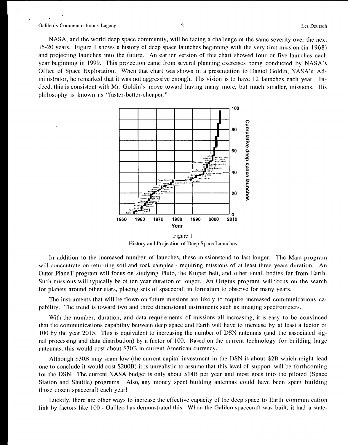$\bullet$ 

 $\overline{a}$ 

NASA, and the world deep space community, will be facing a challenge of ihc same severity over the next 15-20 years. Figure 1 shows a history of deep space launches beginning with the very first mission (in 1968) and projecting launches into the future. An earlier version of this chart showed four or five launches each year beginning in 1999. This projection came from several planning exercises being conducted by NASA's Office of Space Exploration. When that chart was shown in a presentation to Daniel Goldin, NASA's Administrator, he remarked that it was not aggressive enough. His vision is to have 12 launches each year. Indeed, this is consistent with Mr. Goldin's move toward having many more, but much smaller, missions. His philosophy is known as "faster-better-cheaper."



History and Projection of Deep Space Launches

In addition to the increased number of launches, these missionstend to last longer. The Mars program will concentrate on returning soil and rock samples - requiring missions of at least three years duration. An Outer PlaneT program will focus on studying Pluto, the Kuiper belt, and other small bodies far from Earth. Such missions will typically be of ten year duration or longer. An Origins program will focus on the search for planets around other stars, placing sets of spacecraft in formation to observe for many years.

The instruments that will be flown on future missions are likely to require increased communications capability. The trend is toward two and three dimensional instruments such as imaging spcctromctcrs.

With the number, duration, and data requirements of missions all increasing, it is easy to be convinced that the communications capability between deep space and Earth will have to increase by at least a factor of 100 by the year 2015. This is equivalent to increasing the number of DSN antennas (and the associated signal processing and data distribution) by a factor of 100, Based on the current technology for building large antennas, this would cost about \$30B in current American currency.

Although \$30B may seam low (the current capital investment in the DSN is about \$2B which might lead one to conclude it would cost \$200B) it is unrealistic to assume that this Icvc] of support will be forthcoming for the DSN. The current NASA budget is only about \$14B per year and most goes into the piloted (Space Station and Shuttle) programs. Also, any money spent building antennas could have been spent building those dozen spacecraft each year!

].uckily, there are other ways to increase the effective capacity of the deep space to Earth communication link by factors like 100 - Galileo has demonstrated this. When the Galileo spacecraft was built, it had a state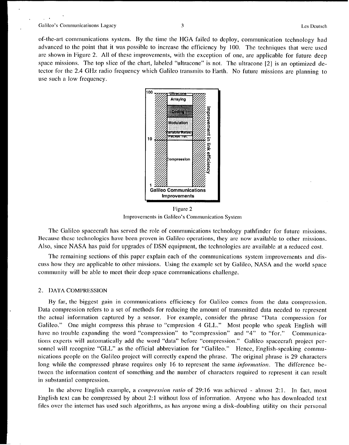,.

 $\ddot{\phantom{a}}$ 

 $\ddot{\phantom{1}}$ 

of-the-ml communications system. By the time the HGA failed to deploy, communication technology had advanced to the point that it was possible to increase the efficiency by 100, The techniques that were used arc shown in Figure 2, All of these improvements, with the exception of one, are applicable for future deep space missions, The top slice of the chart, labeled "ultracone" is not. The ultracone [2] is an optimized detector for the 2.4 Gllz radio frequency which Galileo transmits to Earth, No future missions arc planning to use such a low frequency.



Figure 2 Improvements in Galileo's Communication System

The Galileo spacecraft has served the role of communications technology pathfinder for future missions. Because these technologies have been proven in Galileo operations, they are now available to other missions. Also, since NASA has paid for upgrades of DSN equipment, the technologies arc available at a reduced cost.

The remaining sections of this paper explain each of the communications system improvements and discuss how they are applicable to other missions. Using the example set by Galileo, NASA and the world space community will be able to meet their deep space communications challenge.

#### 2. DATA COMPRESSION

By far, the biggest gain in communications efficiency for Galileo comes from the data compression. Data compression refers to a set of methods for reducing the amount of transmitted data needed to represent the actual information captured by a sensor. For example, consider the phrase "Data compression for Galileo." One might compress this phrase to "cmpresion 4 GLL." Most people who speak English will have no trouble expanding the word "compression" to "compression" and "4" to "for." Communications experts will automatically add the word "data" before "compression." Galileo spacecraft project personnel will recognize "GLL" as the official abbreviation for "Galileo." Hence, English-speaking communications people on the Galileo project will correctly expend the phrase. The original phrase is 29 characters long while the compressed phrase requires only 16 to represent the same *information,* The difference between the information content of something and the number of characters required to represent it can result in substantial compression.

In the above English example, a *compression ratio* of 29:16 was achieved - almost 2:1. In fact, most English text can be compressed by about 2:1 without loss of information, Anyone who has downloaded text files over the internet has used such algorithms, as has anyone using a disk-doubling utility on their personal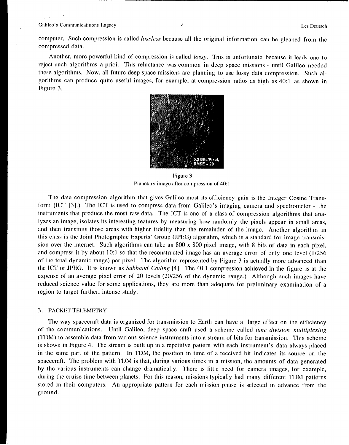computer. Such compression is called lossless because all the original information can be gleaned from the compressed data.

Another, more powerful kind of compression is called lossy. This is unfortunate because it leads one to reject such algorithms a prioi. This reluctance was common in deep space missions - until Galileo needed these algorithms. Now, all future deep space missions are planning to use Iossy data compression. Such algorithms can produce quite useful images, for example, at compression ratios as high as 40:1 as shown in Figure 3,



Figure 3 Planetary image after compression of 40:1

The data compression algorithm that gives Galileo most its efficiency gain is the Integer Cosine Transform (ICT [3].) The ICT is used to compress data from Galileo's imaging camera and spectrometer - the instruments that produce the most raw data. The ICT is one of a class of compression algorithms that analyzes an image, isolates its interesting features by measuring how randomly the pixels appear in small areas, and then transmits those areas with higher fidelity than the remainder of the image. Another algorithm in this class is the Joint Photographic Experts' Group (JPEG) algorithm, which is a standard for image transmission over the internet, Such algorithms can take an 800 x 800 pixel image, with 8 bits of data in each pixel, and compress it by about 10:1 so that the reconstructed image has an average error of only one Icvcl (1/256 of the total dynamic range) per pixel. The algorithm represented by Figure 3 is actually more advanced than the ICT or JPEG. It is known as *Subband Coding* [4]. The 40:1 compression achieved in the figure is at the expense of an average pixel error of 20 levels (20/256 of the dynamic range.) Although such images have reduced science value for some applications, they are more than adequate for preliminary examination of a region to target further, intense study.

# 3. PACKET TELEMETRY

The way spacecraft data is organized for transmission to Earth can have a large effect on the efficiency of the communications. Until Galileo, deep space craft used a scheme called *time division multiplexing* (TDM) to assemble data from various science instruments into a stream of bits for transmission, This scheme is shown in Figure 4, The stream is built up in a repetitive pattern with each instrument's data always placed in the same part of the pattern. In TDM, the position in time of a received bit indicates its source on the spacecraft, The problem with TDM is that, during various times in a mission, the amounts of data generated by the various instruments can change dramatically. There is little need for camera images, for example, during the cruise time between planets. For this reason, missions typically had many different TDM patterns stored in their computers. An appropriate pattern for each mission phase is selected in advance from the ground.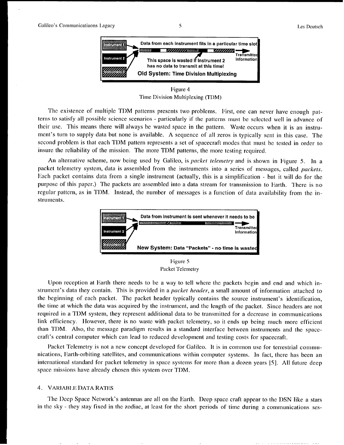

Figure 4 Time Division Multiplexing (TDM)

The existence of multiple TDM patterns presents two problems. First, one can never have enough patterns to satisfy all possible science scenarios - particularly if the patterns must be selected well in advance of their use. This means there will always be wasted space in the pattern, Waste occurs when it is an instrument's turn to supply data but none is available, A sequence of all zeros is typically sent in this case. The second problem is that each TDM pattern represents a set of spacecraft modes that must be tested in order to insure the reliability of the mission. The more TDM patterns, the more testing required,

An alternative scheme, now being used by Galileo, is *packet telemetry* and is shown in Figure 5. ]n a packet telemetry system, data is assembled from the instruments into a series of messages, called *packets.* Hach packet contains data from a single instrument (actually, this is a simplification - but it will do for the purpose of this paper.) The packets are assembled into a data stream for transmission to Earth. There is no regular pattern, as in TDM. Instead, the number of messages is a function of data availability from the instruments.



Figure 5 Packet Telemetry

Upon reception at Earth there needs to bc a way to tell where the packets begin and end and which instrument's data they contain, This is provided in a *packet header,* a small amount of information attached to the beginning of each packet. The packet header typically contains the source instrument's identification, the time at which the data was acquired by the instrument, and the length of the packet. Since headers arc not required in a TDM system, they represent additional data to be transmitted for a decrease in communications link efficiency. However, there is no waste with packet telemetry, so it ends up being much more efficient than TDM, Also, the message paradigm results in a standard interface between instruments and the spacecraft's central computer which can lead to reduced development and testing costs for spacecraft,

Packet Telemetry is not a new concept developed for Galileo. It is in common use for terrestrial communications, Earth-orbiting satellites, and communications within computer systems. In fact, there has been an international standard for packet telemetry in space systems for more than a dozen years [5], All future deep space missions have already chosen this systcm over TDM.

# 4. VARIABLE DATA RATES

The Deep Space Network's antennas are all on the Earth. Deep space craft appear to the DSN like a stars in the sky - they stay fixed in the zodiac, at least for the short periods of time during a communications ses-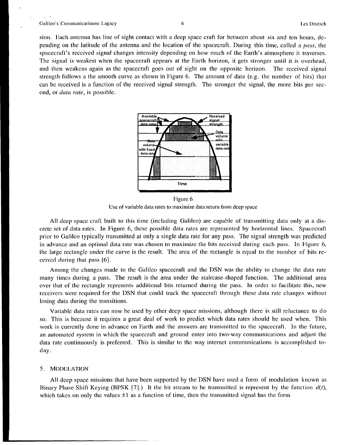#### Galileo's Communicatiuons Lagacy 6 **6** *km* Des Deutsch **best Deutsch best Deutsch best Deutsch best Deutsch best Deutsch best Deutsch best Deutsch best Deutsch best Deutsch best Deutsch best Deutsch best Deutsch best**

sion. Each antenna has line of sight contact with a deep space craft for between about six and ten hours, depending on the latitude of the antenna and the location of the spacecraft. During this time, called a *pass,* the spacecraft's received signal changes intensity depending on how much of the Earth's atmosphere it traverses. The signal is weakest when the spacecraft appears at the Earth horizon, it gets stronger until it is overhead, and then weakens again as the spacecraft goes out of sight on the opposite horizon, The received signal strength follows a the smooth **curve** as shown in Figure 6. The amount of data (e.g. the number of bits) that can bc received is a function of the received signal strength. The stronger the signal, the more bits per second, or *data rate*, is possible.



Figure 6 Use of variable data rates to maximize data return from deep space

All deep space craft built to this time (including Galileo) are capable of transmitting data only at a discrctc set of data rates. In Figure 6, these possible data rates are represented by horizontal lines. Spacecraft prior to Galileo typically transmitted at only a single data rate for any pass. The signal strength was predicted in advance and an optimal data rate was chosen to maximize the bits rcceivcd during each pass. In Figure 6, the large rectangle under the curve is the result. The area of the rectangle is equal to the number of bits received daring that pass [6].

Among the changes made to the Galileo spacecraft and the DSN was the ability to change the data rate many times during a pass. The result is the area under the staircase-shaped function. The additional area over that of the rectangle represents additional bits returned during the pass, In order to facilitate this, new receivers were required for the DSN that could track the spacecraft through these data rate changes without losing data during the transitions.

Variable data rates can now be used by other deep space missions, although there is still reluctance to do so. This is because it requires a great deal of work to predict which data rates should be used when. This work is currently done in advance on Earth and the answers arc transmitted to the spacecraft. in the future, an automated system in which the spacecraft and ground enter into two-way communications and adjust the data rate continuously is preferred. This is similar to the way internct communications is accomplished today.

# 5. MODU1,ATJON

All deep space missions that have been supported by the DSN have used a form of modulation known as Binary Phase Shift Keying (BPSK [7].) It the bit stream to be transmitted is represent by the function  $d(t)$ , which takes on only the values  $\pm 1$  as a function of time, then the transmitted signal has the form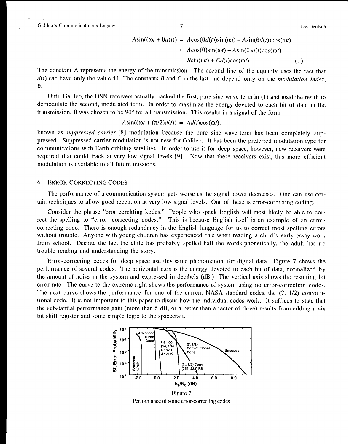,.

$$
A\sin((\omega t + \theta d(t)) = A\cos(\theta d(t))\sin(\omega t) - A\sin(\theta d(t))\cos(\omega t)
$$
  
=  $A\cos(\theta)\sin(\omega t) - A\sin(\theta)d(t)\cos(\omega t)$   
=  $B\sin(\omega t) + Cd(t)\cos(\omega t)$ . (1)

The constant A represents the energy of the transmission. The second line of the equality uses the fact that  $d(t)$  can have only the value  $\pm 1$ . The constants B and C in the last line depend only on the *modulation index*, *e.*

Until Galileo, the DSN receivers actually tracked the first, pure sine wave term in (1) and used the result to demodulate the second, modulated term. In order to maximize the energy devoted to each bit of data in the transmission,  $\theta$  was chosen to be 90 $\degree$  for all transmission. This results in a signal of the form

$$
A\sin((\omega t + (\pi/2)d(t)) = Ad(t)\cos(\omega t),
$$

known as *suppressed carrier [8]* modulation because the pure sine wave term has been completely suppressed, Suppressed carrier modulation is not new for Galileo. It has been the preferred modulation type for communications with Earth-orbiting satellites. In order to use it for deep space, however, new receivers were required that could track at very low signal levels [9]. Now that these receivers exist, this more efficient modulation is available to all future missions.

## **6. ERROR-CORRECTING CODES**

The performance of a communication system gets worse as the signal power decreases. One can use certain techniques to allow good reception at very low signal levels. One of these is error-correcting coding,

Consider the phrase "eror corekting kodes." People who speak English will most likely be able to correct the spelling to "error correcting codes." This is because English itself is an example of an errorcorrecting code. There is enough redundancy in the English language for us to correct most spelling errors without trouble. Anyone with young children has experienced this when reading a child's early essay work from school. Despite the fact the child has probably spelled half the words phonetically, the adult has no trouble reading and understanding the story.

Error-correcting codes for deep space use this same phenomenon for digital data. Figure 7 shows the performance of several codes, The horizontal axis is the energy devoted to each bit of data, normalized by the amount of noise in the system and expressed in decibels (dB,) The vertical axis shows the resulting bit error rate. The curve to the extreme right shows the performance of system using no error-correcting codes. The next curve shows the performance for one of the current NASA standard codes, the (7, 1/2) convolutional code. It is not important to this paper to discus how the individual codes work. It suffices to state that the substantial performance gain (more than 5 dB, or a better than a factor of three) results from adding a six bit shift register and some simple logic to the spacecraft,



**Figure** 7 Performance of some error-correcting codes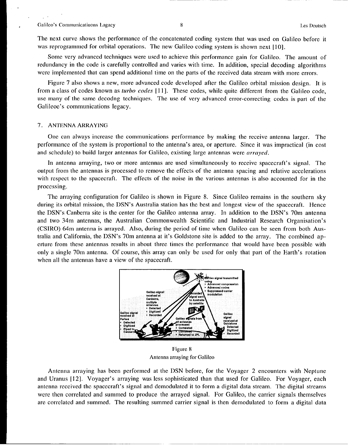$\mathcal{L}$ 

The next curve shows the performance of the concatenated coding system that was used on Galileo before it was reprogrammed for orbital operations, The new Galileo coding system is shown next [10].

Some very advanced techniques were used to achieve this performance gain for Galileo. The amount of redundancy in the code is carefully controlled and varies with time, In addition, special decoding algorithms were implemented that can spend additional time on the parts of the received data stream with more errors.

Figure 7 also shows a new, more advanced code developed after the Galileo orbital mission design. It is from a class of codes known as *turbo codes [11],* These codes, while quite different from the Galileo code, usc many of the same decodng techniques. The use of very advanced error-correcting codes is part of the Galileoc's communications legacy.

## 7. ANTENNA ARRAYING

One can always increase the communications performance by making the receive antenna larger. The performance of the system is proportional to the antenna's area, or aperture. Since it was impractical (in cost and schedule) to build larger antennas for Galileo, existing large antennas were *arrayed.*

la antenna arraying, two or more antennas are used simultaneously to receive spacecraft's signal. The output from the antennas is processed to remove the effects of the antenna spacing and relative accelerations with respect to the spacecraft. The effects of the noise in the various antennas is also accounted for in the processing,

The arraying configuration for Galileo is shown in Figure 8. Since Galileo remains in the southern sky during its orbital mission, the DSN'S Australia station has the best and longest view of the spacecraft, Hence the DSN'S Canberra site is the center for the Galileo antenna array, In addition to the DSN'S 70m antenna and two 34m antennas, the Australian Commonwealth Scientific and Industrial Research Organisation's (CSIRO) 64m antenna is arrayed. Also, during the period of time when Galileo can be seen from both Australia and California, the DSN'S 70m antenna at it's Goldstone site is added to the array. The combined aperture from these antennas results in about three times the performance that would have been possible with only a single 70m antenna, Of course, this array can only be used for only that part of the Earth's rotation when all the antennas have a view of the spacecraft.



Figure 8 Antenna arraying for Galileo

Antenna arraying has been performed at the DSN before, for the Voyager 2 encounters with Neptune and Uranus [12], Voyager's arraying was less sophisticated than that used for Galileo. For Voyager, each antenna received the spacecraft's signal and demodulated it to form a digital data stream. The digital streams were then correlated and summed to produce the arrayed signal. For Galileo, the carrier signals themselves arc correlated and summed. The resulting summed carrier signal is then demodulated to form a digital data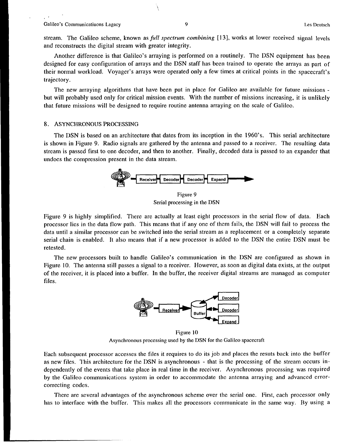**,'**

stream. The Galileo scheme, known as *full spectrum combining [131,* works at lower received signal levels and reconstructs the digital stream with greater integrity,

Another difference is that Galileo's arraying is performed on a routinely. The DSN equipment has been designed for easy configuration of arrays and the DSN staff has been trained to operate the arrays as part of their normal workload. Voyager's arrays were operated only a few times at critical points in the spacecraft's trajectory.

The new arraying algorithms that have been put in place for Galileo are available for future missions but will probably used only for critical mission events. With the number of missions increasing, it is unlikely that future missions will be designed to require routine antenna arraying on the scale of Galileo.

# 8. ASYNCHRONOUS PROCESSING

The DSN is based on an architecture that dates from its inception in the 1960's. This serial architecture is shown in Figure 9. Radio signals are gathered by the antenna and passed to a receiver. The resulting data stream is passed first to one decoder, and then to another. Finally, decoded data is passed to an expander that undoes the compression present in the data stream.



Figure 9 Serial processing in the DSN

Figure 9 is highly simplified, There are actually at least eight processors in the serial flow of data, Each processor lies in the data flow path. This means that if any one of thcm fails, the DSN will fail to process the data until a similar processor can be switched into the serial stream as a replacement or a completely separate serial chain is enabled. It also means that if a new processor is added to the DSN the entire DSN must be retested.

The new processors built to handle Galileo's communication in the DSN are configured as shown in Figure 10. The antenna still passes a signal to a receiver. However, as soon as digital data exists, at the output of the receiver, it is placed into a buffer. In the buffer, the receiver digital streams are managed as computer files.



Figure 10 Asynchronous processing used by the DSN for the Galileo spacecraft

Each subsequent processor accesses the files it requires to do its job and places the resuts back into the buffer as new files. This architecture for the DSN is asynchronous - that is the processing of the stream occurs independently of the events that take place in real time in the receiver. Asynchronous processing was required by the Galileo communications system in order to accommodate the antenna arraying and advanced errorcorrecting codes.

There are several advantages of the asynchronous scheme over the serial one. First, each processor only has to interface with the buffer. This makes all the processors communicate in the same way. By using a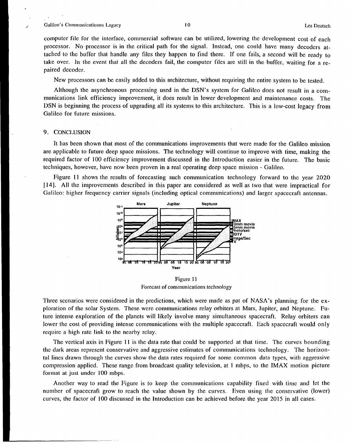#### *i* Galileo's Communicatiuons Lagacy 10 10 **LGS** Deutsch **LGS** Deutsch

*,'*

computer file for the interface, commercial software can be utilized, lowering the development cost of each processor. No processor is in the critical path for the signal. Instead, one could have many decoders attached to the buffer that handle any files they happen to find there. If one fails, a second will be ready to take over. In the event that all the decoders fail, the computer files are still in the buffer, waiting for a repaired decoder.

New processors can be easily added to this architecture, without requiring the entire system to be tested.

Although the asynchronous processing used in the DSN'S system for Galileo does not result in a communications link efficiency improvement, it does resuh in lower development and maintenance costs. The DSN is beginning the process of upgrading all its systems to this architecture. This is a low-cost legacy from GaIileo for future missions.

#### 9. CONCLUS1ON

It has been shown that most of the communications improvements that were made for the Galileo mission are applicable to future deep space missions. The technology will continue to improve with time, making the required factor of 100 efficiency improvement discussed in the Introduction easier in the future. The basic techniques, however, have now been proven in a real operating deep space mission - Galileo.

Figure 11 shows the results of forecasting such communication technology forward to the year 2020 [ 14]. All the improvements described in this paper are considered as well as two that were impractical for Galileo: higher frequency carrier signals (including optical communications) and larger spacecraft antennas.



Figure 11 Forecast of communications technology

Three scenarios were considered in the predictions, which were made as pat of NASA's planning for the exploration of the solar System. These were communications relay orbiters at Mars, Jupiter, and Neptune. Future intense exploration of the planets will likely involve many simultaneous spacecraft. Relay orbiters can lower the cost of providing intense communications with the multiple spacecraft. Each spacecraft would only require a high rate link to the nearby relay.

The vertical axis in Figure 11 is the data rate that could be supported at that time. The curves bounding the dark areas represent conservative and aggressive estimates of communications technology. The horizontal lines drawn through the curves show the data rates required for some common data types, with aggressive compression applied. These range from broadcast quality television, at 1 mbps, to the IMAX motion picture format at just under 100 mbps.

Another way to read the Figure is to keep the communications capability fixed with time and let the number of spacecraft grow to reach the value shown by the curves. Even using the conservative (lower) curves, the factor of 100 discussed in the Introduction can be achieved before the year 2015 in all cases.